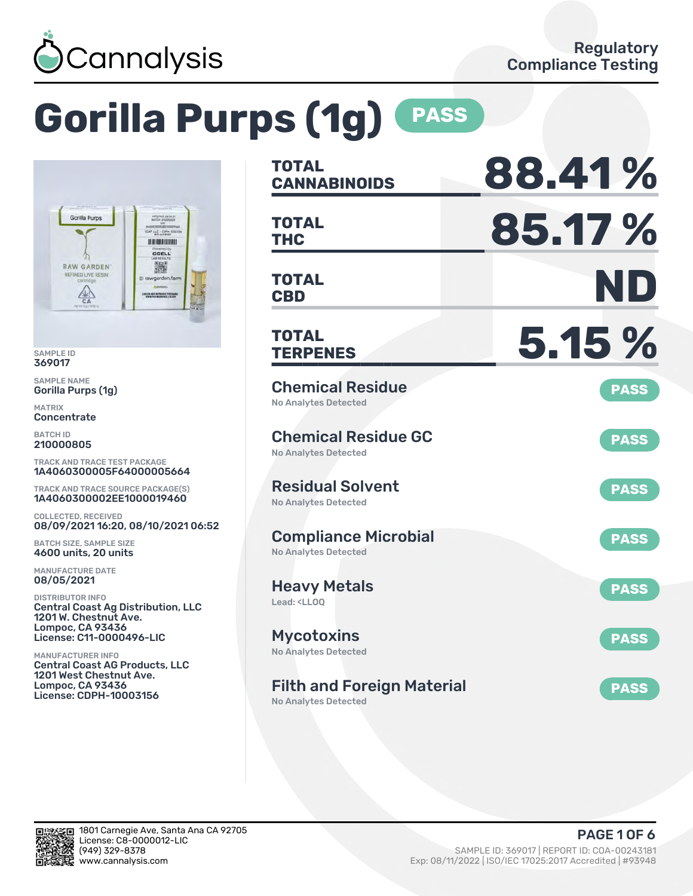

# **Gorilla Purps (1g) PASS**



SAMPLE ID 369017

SAMPLE NAME Gorilla Purps (1g)

MATRIX **Concentrate** 

BATCH ID 210000805

TRACK AND TRACE TEST PACKAGE 1A4060300005F64000005664

TRACK AND TRACE SOURCE PACKAGE(S) 1A4060300002EE1000019460

COLLECTED, RECEIVED 08/09/2021 16:20, 08/10/2021 06:52

BATCH SIZE, SAMPLE SIZE 4600 units, 20 units

MANUFACTURE DATE 08/05/2021

DISTRIBUTOR INFO Central Coast Ag Distribution, LLC 1201 W. Chestnut Ave. Lompoc, CA 93436 License: C11-0000496-LIC

MANUFACTURER INFO Central Coast AG Products, LLC 1201 West Chestnut Ave. Lompoc, CA 93436 License: CDPH-10003156

| TOTAL<br><b>CANNABINOIDS</b>                                           | 88.41%      |
|------------------------------------------------------------------------|-------------|
| <b>TOTAL</b><br><b>THC</b>                                             | 85.17%      |
| <b>TOTAL</b><br><b>CBD</b>                                             | ND          |
| <b>TOTAL</b><br><b>TERPENES</b>                                        | 5.15 %      |
| <b>Chemical Residue</b><br><b>No Analytes Detected</b>                 | <b>PASS</b> |
| <b>Chemical Residue GC</b><br><b>No Analytes Detected</b>              | <b>PASS</b> |
| <b>Residual Solvent</b><br><b>No Analytes Detected</b>                 | <b>PASS</b> |
| <b>Compliance Microbial</b><br><b>No Analytes Detected</b>             | <b>PASS</b> |
| <b>Heavy Metals</b><br>Lead: <ll00< td=""><td><b>PASS</b></td></ll00<> | <b>PASS</b> |
| <b>Mycotoxins</b><br>No Analytes Detected                              | <b>PASS</b> |
| <b>Filth and Foreign Material</b><br><b>No Analytes Detected</b>       | <b>PASS</b> |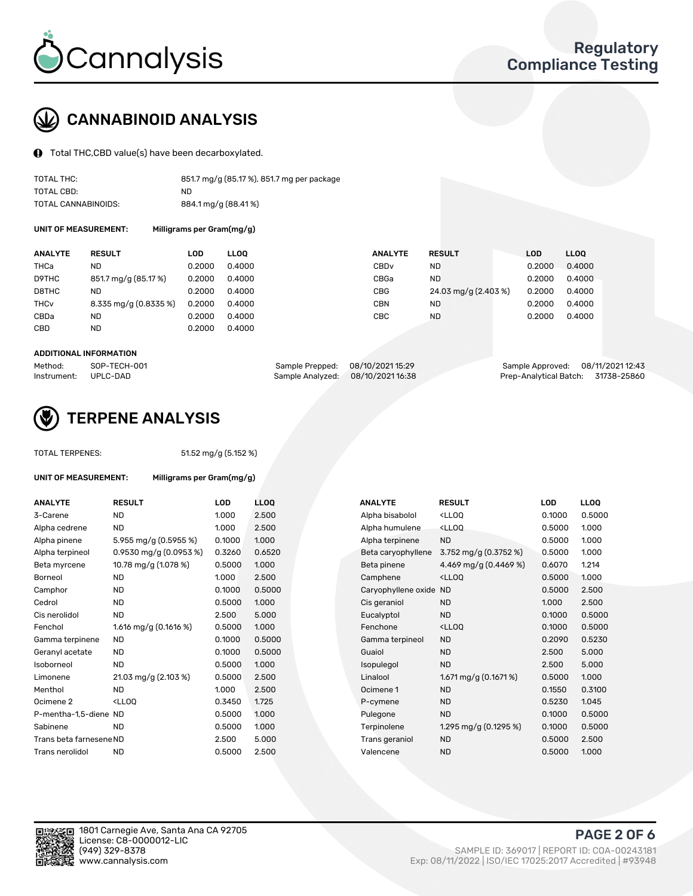

# CANNABINOID ANALYSIS

Total THC,CBD value(s) have been decarboxylated.

| TOTAL THC:          | 851.7 mg/g (85.17 %), 851.7 mg per package |
|---------------------|--------------------------------------------|
| TOTAL CBD:          | ND.                                        |
| TOTAL CANNABINOIDS: | 884.1 mg/g (88.41%)                        |

UNIT OF MEASUREMENT: Milligrams per Gram(mg/g)

| <b>ANALYTE</b>         | <b>RESULT</b>         | LOD    | <b>LLOO</b> | <b>ANALYTE</b>   | <b>RESULT</b>        | LOD    | <b>LLOO</b> |
|------------------------|-----------------------|--------|-------------|------------------|----------------------|--------|-------------|
| THCa                   | ND                    | 0.2000 | 0.4000      | CBD <sub>v</sub> | ND.                  | 0.2000 | 0.4000      |
| D9THC                  | 851.7 mg/g (85.17 %)  | 0.2000 | 0.4000      | CBGa             | <b>ND</b>            | 0.2000 | 0.4000      |
| D8THC                  | <b>ND</b>             | 0.2000 | 0.4000      | <b>CBG</b>       | 24.03 mg/g (2.403 %) | 0.2000 | 0.4000      |
| <b>THC<sub>v</sub></b> | 8.335 mg/g (0.8335 %) | 0.2000 | 0.4000      | <b>CBN</b>       | ND.                  | 0.2000 | 0.4000      |
| CBDa                   | <b>ND</b>             | 0.2000 | 0.4000      | CBC              | <b>ND</b>            | 0.2000 | 0.4000      |
| CBD                    | <b>ND</b>             | 0.2000 | 0.4000      |                  |                      |        |             |

#### ADDITIONAL INFORMATION

| Method:              | SOP-TECH-001 | Sample Prepped: 08/10/2021 15:29  | Sample Approved: 08/11/2021 12:43  |  |
|----------------------|--------------|-----------------------------------|------------------------------------|--|
| Instrument: UPLC-DAD |              | Sample Analyzed: 08/10/2021 16:38 | Prep-Analytical Batch: 31738-25860 |  |



## TERPENE ANALYSIS

TOTAL TERPENES: 51.52 mg/g (5.152 %)

| UNIT OF MEASUREMENT:    | Milligrams per Gram(mg/g) |            |                  |                     |                                                    |        |       |
|-------------------------|---------------------------|------------|------------------|---------------------|----------------------------------------------------|--------|-------|
| <b>ANALYTE</b>          | <b>RESULT</b>             | <b>LOD</b> | LL <sub>OO</sub> | <b>ANALYTE</b>      | <b>RESULT</b>                                      | LOD    | LLOQ  |
| 3-Carene                | <b>ND</b>                 | 1.000      | 2.500            | Alpha bisabolol     | <ll0q< td=""><td>0.1000</td><td>0.50(</td></ll0q<> | 0.1000 | 0.50( |
| Alpha cedrene           | <b>ND</b>                 | 1.000      | 2.500            | Alpha humulene      | <lloq< td=""><td>0.5000</td><td>1.000</td></lloq<> | 0.5000 | 1.000 |
| Alpha pinene            | 5.955 mg/g (0.5955 %)     | 0.1000     | 1.000            | Alpha terpinene     | <b>ND</b>                                          | 0.5000 | 1.000 |
| Alpha terpineol         | $0.9530$ mg/g $(0.0953%)$ | 0.3260     | 0.6520           | Beta caryophyllene  | 3.752 mg/g $(0.3752 \%)$                           | 0.5000 | 1.000 |
| Beta myrcene            | 10.78 mg/g (1.078 %)      | 0.5000     | 1.000            | Beta pinene         | 4.469 mg/g (0.4469 %)                              | 0.6070 | 1.214 |
| <b>Borneol</b>          | <b>ND</b>                 | 1.000      | 2.500            | Camphene            | <lloq< td=""><td>0.5000</td><td>1.000</td></lloq<> | 0.5000 | 1.000 |
| Camphor                 | ND.                       | 0.1000     | 0.5000           | Caryophyllene oxide | <b>ND</b>                                          | 0.5000 | 2.500 |
| Cedrol                  | <b>ND</b>                 | 0.5000     | 1.000            | Cis geraniol        | <b>ND</b>                                          | 1.000  | 2.500 |
| Cis nerolidol           | <b>ND</b>                 | 2.500      | 5.000            | Eucalyptol          | <b>ND</b>                                          | 0.1000 | 0.50( |
| Fenchol                 | 1.616 mg/g $(0.1616%)$    | 0.5000     | 1.000            | Fenchone            | <lloq< td=""><td>0.1000</td><td>0.50(</td></lloq<> | 0.1000 | 0.50( |
| Gamma terpinene         | <b>ND</b>                 | 0.1000     | 0.5000           | Gamma terpineol     | <b>ND</b>                                          | 0.2090 | 0.523 |
| Geranyl acetate         | ND.                       | 0.1000     | 0.5000           | Guaiol              | <b>ND</b>                                          | 2.500  | 5.00  |
| Isoborneol              | <b>ND</b>                 | 0.5000     | 1.000            | Isopulegol          | <b>ND</b>                                          | 2.500  | 5.00  |
| Limonene                | 21.03 mg/g (2.103 %)      | 0.5000     | 2.500            | Linalool            | 1.671 mg/g $(0.1671\%)$                            | 0.5000 | 1.00C |
| Menthol                 | <b>ND</b>                 | 1.000      | 2.500            | Ocimene 1           | <b>ND</b>                                          | 0.1550 | 0.310 |
| Ocimene 2               | $<$ LLOO                  | 0.3450     | 1.725            | P-cymene            | <b>ND</b>                                          | 0.5230 | 1.045 |
| P-mentha-1.5-diene ND   |                           | 0.5000     | 1.000            | Pulegone            | <b>ND</b>                                          | 0.1000 | 0.50( |
| Sabinene                | <b>ND</b>                 | 0.5000     | 1.000            | Terpinolene         | 1.295 mg/g $(0.1295\%)$                            | 0.1000 | 0.500 |
| Trans beta farnesene ND |                           | 2.500      | 5.000            | Trans geraniol      | <b>ND</b>                                          | 0.5000 | 2.500 |
| Trans nerolidol         | <b>ND</b>                 | 0.5000     | 2.500            | Valencene           | <b>ND</b>                                          | 0.5000 | 1.00C |

| <b>ANALYTE</b>          | <b>RESULT</b>                                                                                                      | <b>LOD</b> | <b>LLOQ</b> | <b>ANALYTE</b>         | <b>RESULT</b>                                       | <b>LOD</b> | <b>LLOQ</b> |
|-------------------------|--------------------------------------------------------------------------------------------------------------------|------------|-------------|------------------------|-----------------------------------------------------|------------|-------------|
| 3-Carene                | <b>ND</b>                                                                                                          | 1.000      | 2.500       | Alpha bisabolol        | <lloq< td=""><td>0.1000</td><td>0.5000</td></lloq<> | 0.1000     | 0.5000      |
| Alpha cedrene           | <b>ND</b>                                                                                                          | 1.000      | 2.500       | Alpha humulene         | <lloq< td=""><td>0.5000</td><td>1.000</td></lloq<>  | 0.5000     | 1.000       |
| Alpha pinene            | 5.955 mg/g (0.5955 %)                                                                                              | 0.1000     | 1.000       | Alpha terpinene        | <b>ND</b>                                           | 0.5000     | 1.000       |
| Alpha terpineol         | 0.9530 mg/g (0.0953 %)                                                                                             | 0.3260     | 0.6520      | Beta caryophyllene     | 3.752 mg/g $(0.3752 \%)$                            | 0.5000     | 1.000       |
| Beta myrcene            | 10.78 mg/g (1.078 %)                                                                                               | 0.5000     | 1.000       | Beta pinene            | 4.469 mg/g (0.4469 %)                               | 0.6070     | 1.214       |
| Borneol                 | <b>ND</b>                                                                                                          | 1.000      | 2.500       | Camphene               | <ll0q< td=""><td>0.5000</td><td>1.000</td></ll0q<>  | 0.5000     | 1.000       |
| Camphor                 | <b>ND</b>                                                                                                          | 0.1000     | 0.5000      | Caryophyllene oxide ND |                                                     | 0.5000     | 2.500       |
| Cedrol                  | <b>ND</b>                                                                                                          | 0.5000     | 1.000       | Cis geraniol           | <b>ND</b>                                           | 1.000      | 2.500       |
| Cis nerolidol           | <b>ND</b>                                                                                                          | 2.500      | 5.000       | Eucalyptol             | <b>ND</b>                                           | 0.1000     | 0.5000      |
| Fenchol                 | 1.616 mg/g (0.1616 %)                                                                                              | 0.5000     | 1.000       | Fenchone               | <ll0q< td=""><td>0.1000</td><td>0.5000</td></ll0q<> | 0.1000     | 0.5000      |
| Gamma terpinene         | <b>ND</b>                                                                                                          | 0.1000     | 0.5000      | Gamma terpineol        | <b>ND</b>                                           | 0.2090     | 0.5230      |
| Geranyl acetate         | ND                                                                                                                 | 0.1000     | 0.5000      | Guaiol                 | <b>ND</b>                                           | 2.500      | 5.000       |
| Isoborneol              | <b>ND</b>                                                                                                          | 0.5000     | 1.000       | Isopulegol             | <b>ND</b>                                           | 2.500      | 5.000       |
| Limonene                | 21.03 mg/g (2.103 %)                                                                                               | 0.5000     | 2.500       | Linalool               | 1.671 mg/g (0.1671 %)                               | 0.5000     | 1.000       |
| Menthol                 | <b>ND</b>                                                                                                          | 1.000      | 2.500       | Ocimene 1              | <b>ND</b>                                           | 0.1550     | 0.3100      |
| Ocimene 2               | <ll0q< td=""><td>0.3450</td><td>1.725</td><td>P-cymene</td><td><b>ND</b></td><td>0.5230</td><td>1.045</td></ll0q<> | 0.3450     | 1.725       | P-cymene               | <b>ND</b>                                           | 0.5230     | 1.045       |
| P-mentha-1,5-diene ND   |                                                                                                                    | 0.5000     | 1.000       | Pulegone               | <b>ND</b>                                           | 0.1000     | 0.5000      |
| Sabinene                | <b>ND</b>                                                                                                          | 0.5000     | 1.000       | Terpinolene            | 1.295 mg/g $(0.1295\%)$                             | 0.1000     | 0.5000      |
| Trans beta farnesene ND |                                                                                                                    | 2.500      | 5.000       | Trans geraniol         | <b>ND</b>                                           | 0.5000     | 2.500       |
| Trans nerolidol         | <b>ND</b>                                                                                                          | 0.5000     | 2.500       | Valencene              | <b>ND</b>                                           | 0.5000     | 1.000       |



PAGE 2 OF 6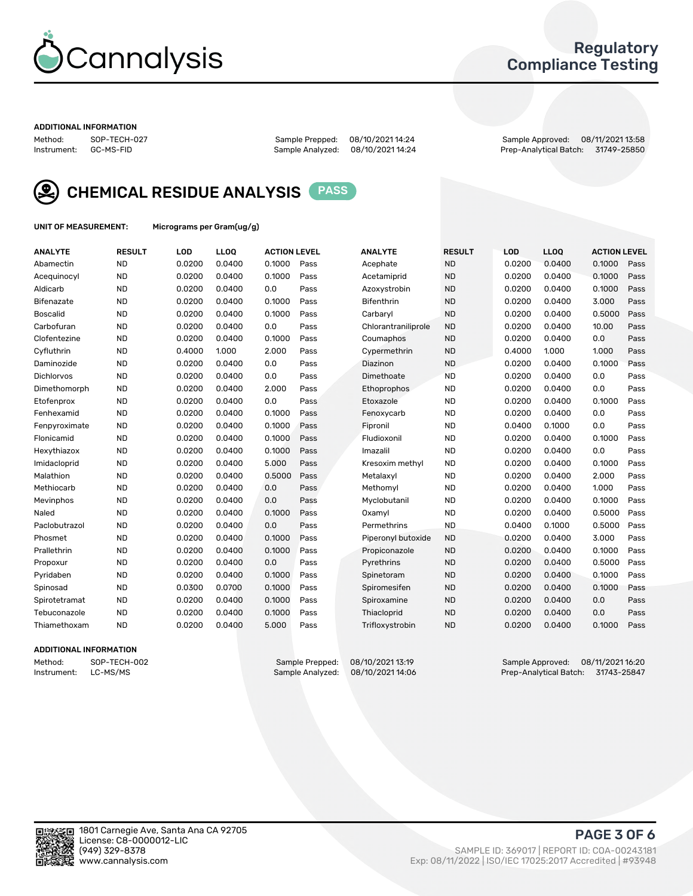

### Regulatory Compliance Testing

#### ADDITIONAL INFORMATION

| Method:     | SOP-TECH-02 |
|-------------|-------------|
| Instrument: | GC-MS-FID   |

Method: SOP-TECH-027 Sample Prepped: 08/10/2021 14:24 Sample Approved: 08/11/2021 13:58 Prep-Analytical Batch: 31749-25850



CHEMICAL RESIDUE ANALYSIS PASS

UNIT OF MEASUREMENT: Micrograms per Gram(ug/g)

| <b>ANALYTE</b>    | <b>RESULT</b> | LOD    | <b>LLOQ</b> | <b>ACTION LEVEL</b> |      | <b>ANALYTE</b>      | <b>RESULT</b> | LOD    | <b>LLOQ</b> | <b>ACTION LEVEL</b> |      |
|-------------------|---------------|--------|-------------|---------------------|------|---------------------|---------------|--------|-------------|---------------------|------|
| Abamectin         | <b>ND</b>     | 0.0200 | 0.0400      | 0.1000              | Pass | Acephate            | <b>ND</b>     | 0.0200 | 0.0400      | 0.1000              | Pass |
| Acequinocyl       | <b>ND</b>     | 0.0200 | 0.0400      | 0.1000              | Pass | Acetamiprid         | <b>ND</b>     | 0.0200 | 0.0400      | 0.1000              | Pass |
| Aldicarb          | <b>ND</b>     | 0.0200 | 0.0400      | 0.0                 | Pass | Azoxystrobin        | <b>ND</b>     | 0.0200 | 0.0400      | 0.1000              | Pass |
| Bifenazate        | <b>ND</b>     | 0.0200 | 0.0400      | 0.1000              | Pass | <b>Bifenthrin</b>   | <b>ND</b>     | 0.0200 | 0.0400      | 3.000               | Pass |
| <b>Boscalid</b>   | <b>ND</b>     | 0.0200 | 0.0400      | 0.1000              | Pass | Carbarvl            | <b>ND</b>     | 0.0200 | 0.0400      | 0.5000              | Pass |
| Carbofuran        | <b>ND</b>     | 0.0200 | 0.0400      | 0.0                 | Pass | Chlorantraniliprole | <b>ND</b>     | 0.0200 | 0.0400      | 10.00               | Pass |
| Clofentezine      | <b>ND</b>     | 0.0200 | 0.0400      | 0.1000              | Pass | Coumaphos           | <b>ND</b>     | 0.0200 | 0.0400      | 0.0                 | Pass |
| Cyfluthrin        | <b>ND</b>     | 0.4000 | 1.000       | 2.000               | Pass | Cypermethrin        | <b>ND</b>     | 0.4000 | 1.000       | 1.000               | Pass |
| Daminozide        | <b>ND</b>     | 0.0200 | 0.0400      | 0.0                 | Pass | Diazinon            | <b>ND</b>     | 0.0200 | 0.0400      | 0.1000              | Pass |
| <b>Dichlorvos</b> | <b>ND</b>     | 0.0200 | 0.0400      | 0.0                 | Pass | Dimethoate          | <b>ND</b>     | 0.0200 | 0.0400      | 0.0                 | Pass |
| Dimethomorph      | <b>ND</b>     | 0.0200 | 0.0400      | 2.000               | Pass | <b>Ethoprophos</b>  | <b>ND</b>     | 0.0200 | 0.0400      | 0.0                 | Pass |
| Etofenprox        | <b>ND</b>     | 0.0200 | 0.0400      | 0.0                 | Pass | Etoxazole           | <b>ND</b>     | 0.0200 | 0.0400      | 0.1000              | Pass |
| Fenhexamid        | <b>ND</b>     | 0.0200 | 0.0400      | 0.1000              | Pass | Fenoxycarb          | <b>ND</b>     | 0.0200 | 0.0400      | 0.0                 | Pass |
| Fenpyroximate     | <b>ND</b>     | 0.0200 | 0.0400      | 0.1000              | Pass | Fipronil            | <b>ND</b>     | 0.0400 | 0.1000      | 0.0                 | Pass |
| Flonicamid        | <b>ND</b>     | 0.0200 | 0.0400      | 0.1000              | Pass | Fludioxonil         | <b>ND</b>     | 0.0200 | 0.0400      | 0.1000              | Pass |
| Hexythiazox       | <b>ND</b>     | 0.0200 | 0.0400      | 0.1000              | Pass | Imazalil            | <b>ND</b>     | 0.0200 | 0.0400      | 0.0                 | Pass |
| Imidacloprid      | <b>ND</b>     | 0.0200 | 0.0400      | 5.000               | Pass | Kresoxim methyl     | <b>ND</b>     | 0.0200 | 0.0400      | 0.1000              | Pass |
| Malathion         | <b>ND</b>     | 0.0200 | 0.0400      | 0.5000              | Pass | Metalaxyl           | <b>ND</b>     | 0.0200 | 0.0400      | 2.000               | Pass |
| Methiocarb        | <b>ND</b>     | 0.0200 | 0.0400      | 0.0                 | Pass | Methomyl            | <b>ND</b>     | 0.0200 | 0.0400      | 1.000               | Pass |
| Mevinphos         | <b>ND</b>     | 0.0200 | 0.0400      | 0.0                 | Pass | Myclobutanil        | <b>ND</b>     | 0.0200 | 0.0400      | 0.1000              | Pass |
| Naled             | <b>ND</b>     | 0.0200 | 0.0400      | 0.1000              | Pass | Oxamyl              | <b>ND</b>     | 0.0200 | 0.0400      | 0.5000              | Pass |
| Paclobutrazol     | <b>ND</b>     | 0.0200 | 0.0400      | 0.0                 | Pass | Permethrins         | <b>ND</b>     | 0.0400 | 0.1000      | 0.5000              | Pass |
| Phosmet           | <b>ND</b>     | 0.0200 | 0.0400      | 0.1000              | Pass | Piperonyl butoxide  | <b>ND</b>     | 0.0200 | 0.0400      | 3.000               | Pass |
| Prallethrin       | <b>ND</b>     | 0.0200 | 0.0400      | 0.1000              | Pass | Propiconazole       | <b>ND</b>     | 0.0200 | 0.0400      | 0.1000              | Pass |
| Propoxur          | <b>ND</b>     | 0.0200 | 0.0400      | 0.0                 | Pass | Pyrethrins          | <b>ND</b>     | 0.0200 | 0.0400      | 0.5000              | Pass |
| Pyridaben         | <b>ND</b>     | 0.0200 | 0.0400      | 0.1000              | Pass | Spinetoram          | <b>ND</b>     | 0.0200 | 0.0400      | 0.1000              | Pass |
| Spinosad          | <b>ND</b>     | 0.0300 | 0.0700      | 0.1000              | Pass | Spiromesifen        | <b>ND</b>     | 0.0200 | 0.0400      | 0.1000              | Pass |
| Spirotetramat     | <b>ND</b>     | 0.0200 | 0.0400      | 0.1000              | Pass | Spiroxamine         | <b>ND</b>     | 0.0200 | 0.0400      | 0.0                 | Pass |
| Tebuconazole      | <b>ND</b>     | 0.0200 | 0.0400      | 0.1000              | Pass | Thiacloprid         | <b>ND</b>     | 0.0200 | 0.0400      | 0.0                 | Pass |
| Thiamethoxam      | <b>ND</b>     | 0.0200 | 0.0400      | 5.000               | Pass | Trifloxystrobin     | <b>ND</b>     | 0.0200 | 0.0400      | 0.1000              | Pass |

#### ADDITIONAL INFORMATION

Method: SOP-TECH-002 Sample Prepped: 08/10/2021 13:19 Sample Approved: 08/11/2021 16:20<br>Instrument: LC-MS/MS Sample Analyzed: 08/10/2021 14:06 Prep-Analytical Batch: 31743-25847 Prep-Analytical Batch: 31743-25847

PAGE 3 OF 6

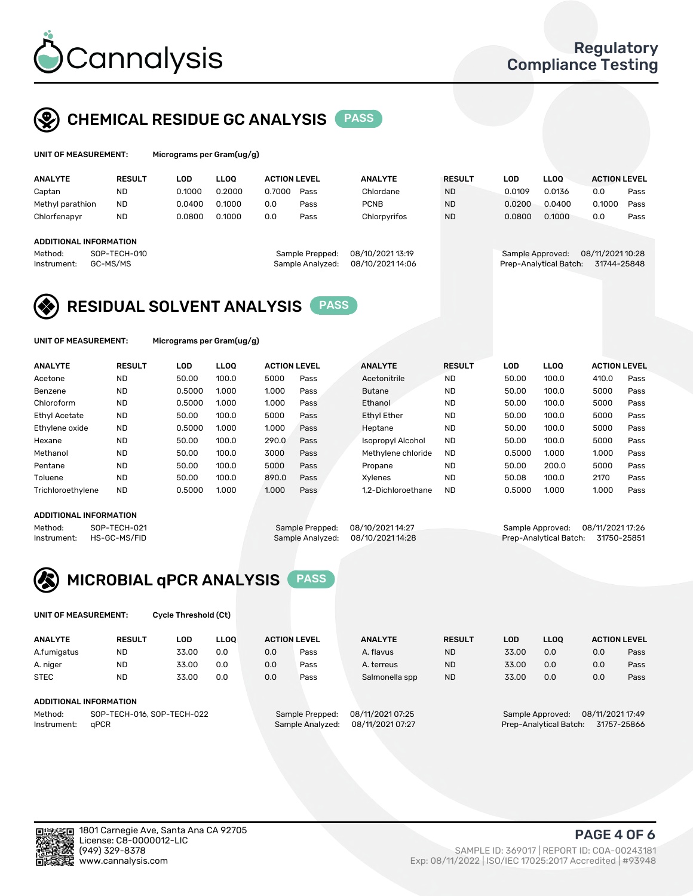

## CHEMICAL RESIDUE GC ANALYSIS PASS

rograms per Gram(ug/g)

| <b>ANALYTE</b>                | <b>RESULT</b>                | LOD    | <b>LLOO</b> | <b>ACTION LEVEL</b>                        |                 | <b>ANALYTE</b>   | <b>RESULT</b> | LOD    | <b>LLOO</b>                          | <b>ACTION LEVEL</b> |      |  |
|-------------------------------|------------------------------|--------|-------------|--------------------------------------------|-----------------|------------------|---------------|--------|--------------------------------------|---------------------|------|--|
| Captan                        | <b>ND</b>                    | 0.1000 | 0.2000      | 0.7000                                     | Pass            | Chlordane        | <b>ND</b>     | 0.0109 | 0.0136                               | 0.0                 | Pass |  |
| Methyl parathion              | <b>ND</b>                    | 0.0400 | 0.1000      | 0.0                                        | Pass            | <b>PCNB</b>      | <b>ND</b>     | 0.0200 | 0.0400                               | 0.1000              | Pass |  |
| Chlorfenapyr                  | <b>ND</b>                    | 0.0800 | 0.1000      | 0.0                                        | Pass            | Chlorpyrifos     | <b>ND</b>     | 0.0800 | 0.1000                               | 0.0                 | Pass |  |
|                               |                              |        |             |                                            |                 |                  |               |        |                                      |                     |      |  |
| <b>ADDITIONAL INFORMATION</b> |                              |        |             |                                            |                 |                  |               |        |                                      |                     |      |  |
| Method:                       | SOP-TECH-010                 |        |             |                                            | Sample Prepped: | 08/10/2021 13:19 |               |        | 08/11/2021 10:28<br>Sample Approved: |                     |      |  |
| Instrument:                   | GC-MS/MS<br>Sample Analyzed: |        |             | 08/10/2021 14:06<br>Prep-Analytical Batch: |                 |                  | 31744-25848   |        |                                      |                     |      |  |
|                               |                              |        |             |                                            |                 |                  |               |        |                                      |                     |      |  |

## RESIDUAL SOLVENT ANALYSIS PASS

UNIT OF MEASUREMENT: Micrograms per Gram(ug/g)

| <b>ANALYTE</b>       | <b>RESULT</b> | LOD    | <b>LLOO</b> | <b>ACTION LEVEL</b> |      | <b>ANALYTE</b>           | <b>RESULT</b> | LOD    | LLOO  | <b>ACTION LEVEL</b> |      |
|----------------------|---------------|--------|-------------|---------------------|------|--------------------------|---------------|--------|-------|---------------------|------|
| Acetone              | <b>ND</b>     | 50.00  | 100.0       | 5000                | Pass | Acetonitrile             | <b>ND</b>     | 50.00  | 100.0 | 410.0               | Pass |
| Benzene              | <b>ND</b>     | 0.5000 | 1.000       | 1.000               | Pass | <b>Butane</b>            | <b>ND</b>     | 50.00  | 100.0 | 5000                | Pass |
| Chloroform           | <b>ND</b>     | 0.5000 | 1.000       | 1.000               | Pass | Ethanol                  | <b>ND</b>     | 50.00  | 100.0 | 5000                | Pass |
| <b>Ethyl Acetate</b> | <b>ND</b>     | 50.00  | 100.0       | 5000                | Pass | <b>Ethyl Ether</b>       | <b>ND</b>     | 50.00  | 100.0 | 5000                | Pass |
| Ethylene oxide       | <b>ND</b>     | 0.5000 | 1.000       | 1.000               | Pass | Heptane                  | <b>ND</b>     | 50.00  | 100.0 | 5000                | Pass |
| Hexane               | <b>ND</b>     | 50.00  | 100.0       | 290.0               | Pass | <b>Isopropyl Alcohol</b> | <b>ND</b>     | 50.00  | 100.0 | 5000                | Pass |
| Methanol             | <b>ND</b>     | 50.00  | 100.0       | 3000                | Pass | Methylene chloride       | <b>ND</b>     | 0.5000 | 1.000 | 1.000               | Pass |
| Pentane              | <b>ND</b>     | 50.00  | 100.0       | 5000                | Pass | Propane                  | <b>ND</b>     | 50.00  | 200.0 | 5000                | Pass |
| Toluene              | <b>ND</b>     | 50.00  | 100.0       | 890.0               | Pass | Xvlenes                  | <b>ND</b>     | 50.08  | 100.0 | 2170                | Pass |
| Trichloroethylene    | <b>ND</b>     | 0.5000 | 1.000       | 1.000               | Pass | 1.2-Dichloroethane       | <b>ND</b>     | 0.5000 | 1.000 | 1.000               | Pass |

#### ADDITIONAL INFORMATION

Method: SOP-TECH-021 Sample Prepped: 08/10/2021 14:27 Sample Approved: 08/11/2021 17:26<br>Instrument: HS-GC-MS/FID Sample Analyzed: 08/10/2021 14:28 Prep-Analytical Batch: 31750-25851 Prep-Analytical Batch: 31750-25851



UNIT OF MEASUREMENT: Cycle Threshold (Ct)

| <b>ANALYTE</b>                        | <b>RESULT</b>                 | LOD   | <b>LLOO</b> |     | <b>ACTION LEVEL</b> | <b>ANALYTE</b>   | <b>RESULT</b> | <b>LOD</b> | <b>LLOO</b>      |                  | <b>ACTION LEVEL</b> |
|---------------------------------------|-------------------------------|-------|-------------|-----|---------------------|------------------|---------------|------------|------------------|------------------|---------------------|
| A.fumigatus                           | <b>ND</b>                     | 33.00 | 0.0         | 0.0 | Pass                | A. flavus        | <b>ND</b>     | 33.00      | 0.0              | 0.0              | Pass                |
| A. niger                              | <b>ND</b>                     | 33.00 | 0.0         | 0.0 | Pass                | A. terreus       | <b>ND</b>     | 33.00      | 0.0              | 0.0              | Pass                |
| <b>STEC</b>                           | <b>ND</b>                     | 33.00 | 0.0         | 0.0 | Pass                | Salmonella spp   | <b>ND</b>     | 33.00      | 0.0              | 0.0              | Pass                |
|                                       | <b>ADDITIONAL INFORMATION</b> |       |             |     |                     |                  |               |            |                  |                  |                     |
| SOP-TECH-016, SOP-TECH-022<br>Method: |                               |       |             |     | Sample Prepped:     | 08/11/2021 07:25 |               |            | Sample Approved: | 08/11/2021 17:49 |                     |

Instrument: qPCR Sample Analyzed: 08/11/2021 07:27 Prep-Analytical Batch: 31757-25866

PAGE 4 OF 6

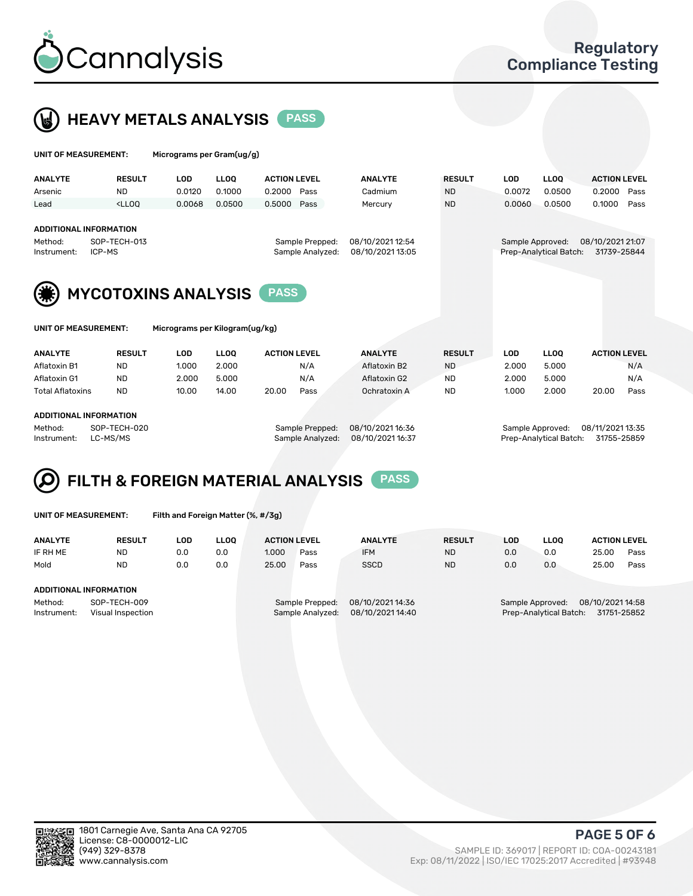



| UNIT OF MEASUREMENT:                                   |                                                                                                                                                                         | Micrograms per Gram(ug/g)  |             |                                     |                  |               |                                      |                        |                     |      |
|--------------------------------------------------------|-------------------------------------------------------------------------------------------------------------------------------------------------------------------------|----------------------------|-------------|-------------------------------------|------------------|---------------|--------------------------------------|------------------------|---------------------|------|
| <b>ANALYTE</b>                                         | <b>RESULT</b>                                                                                                                                                           | <b>LOD</b>                 | <b>LLOO</b> | <b>ACTION LEVEL</b>                 | <b>ANALYTE</b>   | <b>RESULT</b> | <b>LOD</b>                           | <b>LLOO</b>            | <b>ACTION LEVEL</b> |      |
| Arsenic                                                | <b>ND</b>                                                                                                                                                               | 0.0120                     | 0.1000      | 0.2000<br>Pass                      | Cadmium          | <b>ND</b>     | 0.0072                               | 0.0500                 | 0.2000              | Pass |
| Lead                                                   | <lloo< td=""><td>0.0068</td><td>0.0500</td><td>0.5000<br/>Pass</td><td>Mercury</td><td><b>ND</b></td><td>0.0060</td><td>0.0500</td><td>0.1000</td><td>Pass</td></lloo<> | 0.0068                     | 0.0500      | 0.5000<br>Pass                      | Mercury          | <b>ND</b>     | 0.0060                               | 0.0500                 | 0.1000              | Pass |
|                                                        |                                                                                                                                                                         |                            |             |                                     |                  |               |                                      |                        |                     |      |
| <b>ADDITIONAL INFORMATION</b>                          |                                                                                                                                                                         |                            |             |                                     |                  |               |                                      |                        |                     |      |
| SOP-TECH-013<br>Method:                                |                                                                                                                                                                         |                            |             | 08/10/2021 12:54<br>Sample Prepped: |                  |               | 08/10/2021 21:07<br>Sample Approved: |                        |                     |      |
| ICP-MS<br>Instrument:                                  |                                                                                                                                                                         |                            |             | Sample Analyzed:                    | 08/10/2021 13:05 |               |                                      | Prep-Analytical Batch: | 31739-25844         |      |
|                                                        |                                                                                                                                                                         |                            |             |                                     |                  |               |                                      |                        |                     |      |
|                                                        |                                                                                                                                                                         |                            |             |                                     |                  |               |                                      |                        |                     |      |
|                                                        |                                                                                                                                                                         | <b>MYCOTOXINS ANALYSIS</b> |             | <b>PASS</b>                         |                  |               |                                      |                        |                     |      |
|                                                        |                                                                                                                                                                         |                            |             |                                     |                  |               |                                      |                        |                     |      |
|                                                        |                                                                                                                                                                         |                            |             |                                     |                  |               |                                      |                        |                     |      |
| UNIT OF MEASUREMENT:<br>Micrograms per Kilogram(ug/kg) |                                                                                                                                                                         |                            |             |                                     |                  |               |                                      |                        |                     |      |
|                                                        |                                                                                                                                                                         |                            |             |                                     |                  |               |                                      |                        |                     |      |
| <b>ANALYTE</b>                                         | <b>RESULT</b>                                                                                                                                                           | <b>LOD</b>                 | <b>LLOO</b> | <b>ACTION LEVEL</b>                 | <b>ANALYTE</b>   | <b>RESULT</b> | <b>LOD</b>                           | <b>LLOQ</b>            | <b>ACTION LEVEL</b> |      |
| Aflatoxin B1                                           | <b>ND</b>                                                                                                                                                               | 1.000                      | 2.000       | N/A                                 | Aflatoxin B2     | <b>ND</b>     | 2.000                                | 5.000                  |                     | N/A  |
| Aflatoxin G1                                           | ND.                                                                                                                                                                     | 2.000                      | 5.000       | N/A                                 | Aflatoxin G2     | <b>ND</b>     | 2.000                                | 5.000                  |                     | N/A  |
| <b>Total Aflatoxins</b>                                | ND.                                                                                                                                                                     | 10.00                      | 14.00       | 20.00<br>Pass                       | Ochratoxin A     | <b>ND</b>     | 1.000                                | 2.000                  | 20.00               | Pass |

#### ADDITIONAL INFORMATION

Method: SOP-TECH-020 Sample Prepped: 08/10/2021 16:36 Sample Approved: 08/11/2021 13:35 Instrument: LC-MS/MS Sample Analyzed: 08/10/2021 16:37 Prep-Analytical Batch: 31755-25859

# FILTH & FOREIGN MATERIAL ANALYSIS PASS

UNIT OF MEASUREMENT: Filth and Foreign Matter (%, #/3g)

| <b>ANALYTE</b>         | <b>RESULT</b>                     | LOD | LLOO | <b>ACTION LEVEL</b> |                                     | <b>ANALYTE</b>                       | <b>RESULT</b> | LOD | <b>LLOO</b> | <b>ACTION LEVEL</b>                                                     |      |
|------------------------|-----------------------------------|-----|------|---------------------|-------------------------------------|--------------------------------------|---------------|-----|-------------|-------------------------------------------------------------------------|------|
| IF RH ME               | <b>ND</b>                         | 0.0 | 0.0  | 1.000               | Pass                                | <b>IFM</b>                           | <b>ND</b>     | 0.0 | 0.0         | 25.00                                                                   | Pass |
| Mold                   | <b>ND</b>                         | 0.0 | 0.0  | 25.00               | Pass                                | <b>SSCD</b>                          | <b>ND</b>     | 0.0 | 0.0         | 25.00                                                                   | Pass |
| ADDITIONAL INFORMATION |                                   |     |      |                     |                                     |                                      |               |     |             |                                                                         |      |
| Method:<br>Instrument: | SOP-TECH-009<br>Visual Inspection |     |      |                     | Sample Prepped:<br>Sample Analyzed: | 08/10/2021 14:36<br>08/10/2021 14:40 |               |     |             | Sample Approved: 08/10/2021 14:58<br>Prep-Analytical Batch: 31751-25852 |      |